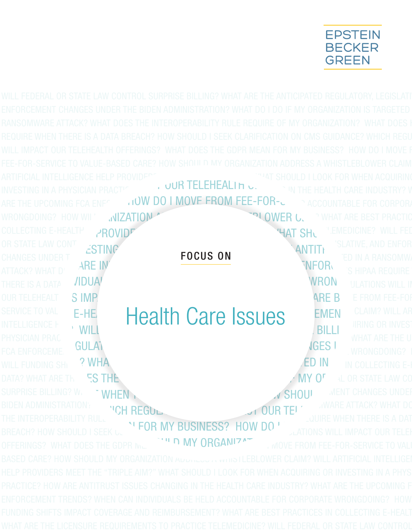

ARTIFICIAL INTELLIGENCE HELP PROVIDERS MEET THE "TRIPLE" IS MEET THAT SHOULD I LOOK FOR WHEN ACQUIRING INVESTING IN A PHYSICIAN PRACTICE? AND ALL INDUSTRY? WHERE ALL INDUSTRY? WHAT HE HEALTH CARE INDUSTRY? WHERE THE GODPON IN A PHYSICIAN PRACTIC ARE THE UPCOMING FCA ENFCERTION TRENDS IN TRENDS? ARE THE UPCOMING FCA ENFCERTION DO I MOVE FROM FEE-FOR-SERVICE TO ACCOUNTABLE FOR CORPORATE WRONGDOING? HOW WILL MIZATION AND REIMBURSEMENT COVERAGE AND REIGHT ORGANIZATION **COLLECTING E-HEALTH** PROVIDERS TO PROVIDE THE TRIPLE TELEMENTS TO PROVIDE TELEMENTS TO PROVIDE TELEMENTS TO PROV OR STATE LAW CONTROL SURPRISE BILLING? WHAT ARE THE ANTICIPATED REGULATORY ANTITY CHANGES UNDER THE BIDEN ARE IN A RANSOM BIDEN ARE IN A RANSOM THE BIDEN ARE IN A RANSOM CHANGES ATTACK? WHAT DOES THE HY AND THE INTERNATION CONTROLLER THE INTERNATION CONTROLLER THE INTERNATION CONTROLLER<br>THERE IS A DATA AND **THERE IS A DATA** THERE IS A DATA **BREACH? HOUAL INDIVIDUALS BE HELD ACCOUNTABLE FOR CONS GUIDANCE IN SERVICE ON CORPORATIONS WILL IMPACT ON CORPORATIONS WILL IMPACT ON ACCOUNTABLE FOR CORPORATIONS WILL IMPACT ON A SERVICE OF THE SERVIC** OUR TELEHEALT SIMP SERINGS? OF FROM FEE-FOR MARE BUSINESS? WHAT DOES THE GROW DOES THE GROW DO I MOVE FROM FEE-FOR SERVICE TO VALUE-BASED CARE DO LONGO CARE EN MY ORGANIZATION MELARTICLARING CLAIM? WILL AR INTELLIGENCE HELP PROVIDERS MANUSCRIPT WAS CONSIDERED TO TOO LOOK FOR TRIPLE TRIPLE TRIPLE METHOD OR INVESTING OR INVESTING OR INVESTING OR INVESTING OR INVESTING OR INVESTING OR INVESTING OR INVESTING OR INVESTING OR INV PHYSICIAN PRACTICE **How ARE ANTITRUST ISSUES CHANGING ISSUES CHANGING IN THE UPCOMING INDUSTRY OF THE UPCOMING IN<br>The Extra Care in the Care in the UPCOMING CARE IN THE UPCOMING CARE IN THE UPCOMING CARE IN THE UPCOMING CA** FCA ENFORCEMENT TRENDS? WHEN TRENDS? WHEN TRENDS? WRONGDOING? WILL FUNDING SHIPPART WHAT ARE BEST PRACTICES IN A RANSOMWARD ON A RANSOMWARE AND RESIDENT ON A RANSOMWARE AND A RANSOMWARE AND THE ALTERNATION IN COLLECTING E-H DATA? WHAT ARE THAS IS THE INTERNATION OF ALL OR STATE LAW CONTROL INTERNATIONAL ORIGINAL ORIGINAL OF MY ORGANIZATION SURPRISE BILLING? WALLET ANTICHANGES UNDER A THE ANTICHANGES UNDER THE ANTICHANGES UNDER BIDEN ADMINISTRATION? WHAT DO I WARE ATTACK? WHAT DO THE INTEROPERABILITY RULE REQUIRE OF MY ORGANIZATION? WHEN THERE IS A DAT BREACH? HOW SHOULD I SEEK CLARIFICATION ON CHARIFICATIONS WILL IMPACT OUR TELEH<br>OFFEDINGS? WHAT DOES THE CODD N. ALTH**I DIMY ORGANIZAT** ALOVE FROM FEE FOR SERVICE TO VALL OFFERINGS? WHAT DOES THE GDPR MEAN TO MY ORGANIZATION AND WOVE FROM FEE-FOR-SERVICE TO VALITY THE LAW CONTRACTING  $\epsilon$ STING  $\epsilon$ IN THE HEALTH CARE IN THE HEALTH CARE INDUSTRY TO A REGISTRY THE UPPCOMING FOR THE UPPCOMING FOR THE UPPCOMING FOR THE UPPCOMING FOR THE UPPCOMING FOR THE UPPCOMING FOR THE UPPCOMING FOR THE UPPCOMING FOR THE UPPCOMING FOR FUNDING SHIPS ON TELEMBER AND SHIPLEY SHIPS IN THE SHIPS OF THE STATE AND REFORM THE STATE OF THE STATE OF THE STATE OF THE STATE OF THE STATE OF THE STATE OF THE STATE OF THE STATE OF THE STATE OF THE STATE OF THE STATE O SERVICE TO VAL E-HE. Health Care Issues EMEN CLAIM? WILL ARE THELEMEDICE TO WILL FEDERAL OR STATE LAW CONTROL SURPRISE BILLING OR INVESTIGATION CONTROL SURPRISE BILLING? ECA ENFORCEME GULAT **DOES AREA RELLING?** WANTHAN THERE IS A RELLING? WANT THERE IS A SHOULD INVESTIGATED MENTICATION OF SHOULD INTERFERENCE AND THERE IS A DATA BREAK CHARGES UNDER  $J$  OUR TELET **WHAT DOES THE GORD MATH SUSINESS? HOW DO '** FOCUS ON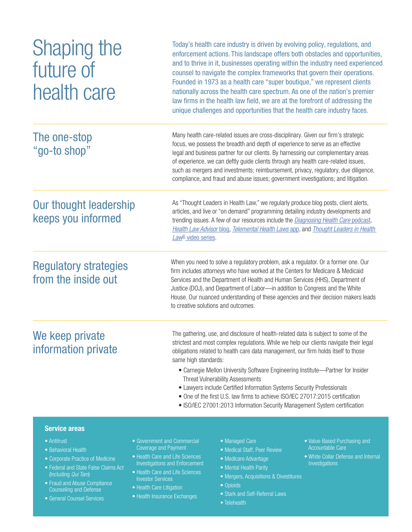| Shaping the<br>future of<br>health care             | Today's health care industry is driven by evolving policy, regulations, and<br>enforcement actions. This landscape offers both obstacles and opportunities,<br>and to thrive in it, businesses operating within the industry need experienced<br>counsel to navigate the complex frameworks that govern their operations.<br>Founded in 1973 as a health care "super boutique," we represent clients<br>nationally across the health care spectrum. As one of the nation's premier<br>law firms in the health law field, we are at the forefront of addressing the<br>unique challenges and opportunities that the health care industry faces.                    |
|-----------------------------------------------------|-------------------------------------------------------------------------------------------------------------------------------------------------------------------------------------------------------------------------------------------------------------------------------------------------------------------------------------------------------------------------------------------------------------------------------------------------------------------------------------------------------------------------------------------------------------------------------------------------------------------------------------------------------------------|
| The one-stop<br>"go-to shop"                        | Many health care-related issues are cross-disciplinary. Given our firm's strategic<br>focus, we possess the breadth and depth of experience to serve as an effective<br>legal and business partner for our clients. By harnessing our complementary areas<br>of experience, we can deftly guide clients through any health care-related issues,<br>such as mergers and investments; reimbursement, privacy, regulatory, due diligence,<br>compliance, and fraud and abuse issues; government investigations; and litigation.                                                                                                                                      |
| Our thought leadership<br>keeps you informed        | As "Thought Leaders in Health Law," we regularly produce blog posts, client alerts,<br>articles, and live or "on demand" programming detailing industry developments and<br>trending issues. A few of our resources include the Diagnosing Health Care podcast,<br>Health Law Advisor blog, Telemental Health Laws app, and Thought Leaders in Health<br>Law <sup>®</sup> video series.                                                                                                                                                                                                                                                                           |
| <b>Regulatory strategies</b><br>from the inside out | When you need to solve a regulatory problem, ask a regulator. Or a former one. Our<br>firm includes attorneys who have worked at the Centers for Medicare & Medicaid<br>Services and the Department of Health and Human Services (HHS), Department of<br>Justice (DOJ), and Department of Labor-in addition to Congress and the White<br>House. Our nuanced understanding of these agencies and their decision makers leads<br>to creative solutions and outcomes.                                                                                                                                                                                                |
| We keep private<br>information private              | The gathering, use, and disclosure of health-related data is subject to some of the<br>strictest and most complex regulations. While we help our clients navigate their legal<br>obligations related to health care data management, our firm holds itself to those<br>same high standards:<br>• Carnegie Mellon University Software Engineering Institute-Partner for Insider<br><b>Threat Vulnerability Assessments</b><br>• Lawyers include Certified Information Systems Security Professionals<br>• One of the first U.S. law firms to achieve ISO/IEC 27017:2015 certification<br>• ISO/IEC 27001:2013 Information Security Management System certification |

#### Service areas

- Antitrust
- Behavioral Health
- Corporate Practice of Medicine
- Federal and State False Claims Act (Including *Qui Tam*)
- Fraud and Abuse Compliance Counseling and Defense
- General Counsel Services
- Government and Commercial Coverage and Payment
- Health Care and Life Sciences Investigations and Enforcement
- Health Care and Life Sciences **Investor Services**
- Health Care Litigation
- Health Insurance Exchanges
- Managed Care
- Medical Staff, Peer Review
- Medicare Advantage
- Mental Health Parity
- Mergers, Acquisitions & Divestitures
- Opioids
- Stark and Self-Referral Laws
- Telehealth
- Value-Based Purchasing and Accountable Care
- White Collar Defense and Internal Investigations